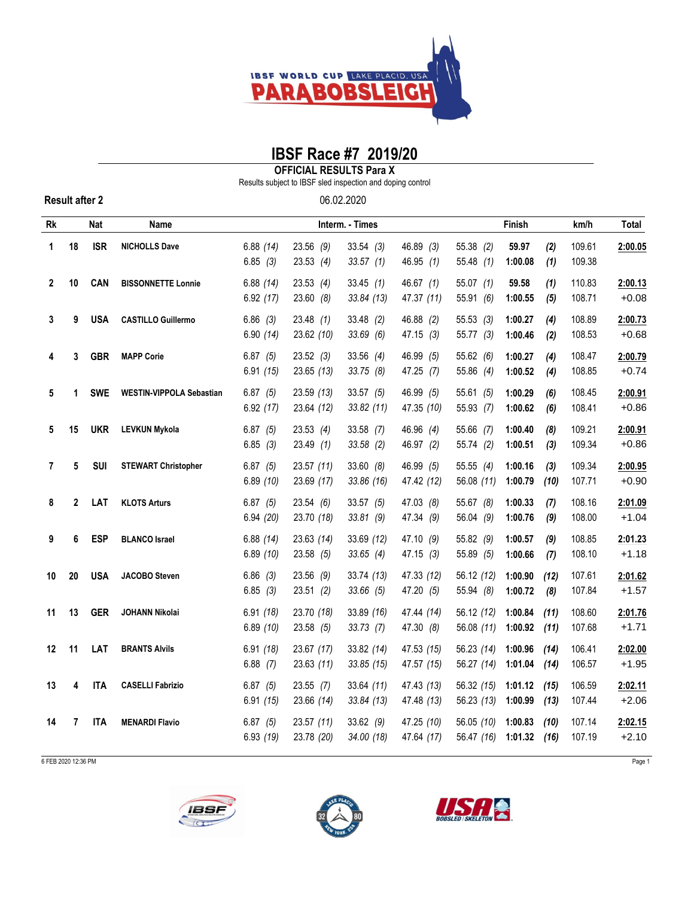

## **IBSF Race #7 2019/20**

**OFFICIAL RESULTS Para X**

Results subject to IBSF sled inspection and doping control

**Result after 2** 06.02.2020

| Rk             | Nat<br>Name |            |                                 | Interm. - Times        |                           |                            |                          | Finish                   |                           |              | km/h             | Total              |
|----------------|-------------|------------|---------------------------------|------------------------|---------------------------|----------------------------|--------------------------|--------------------------|---------------------------|--------------|------------------|--------------------|
| 1              | 18          | <b>ISR</b> | <b>NICHOLLS Dave</b>            | 6.88(14)<br>6.85(3)    | $23.56$ (9)<br>23.53(4)   | 33.54(3)<br>33.57(1)       | 46.89 (3)<br>46.95(1)    | $55.38$ (2)<br>55.48(1)  | 59.97<br>1:00.08          | (2)<br>(1)   | 109.61<br>109.38 | 2:00.05            |
| $\mathbf{2}$   | 10          | <b>CAN</b> | <b>BISSONNETTE Lonnie</b>       | 6.88(14)<br>6.92(17)   | 23.53(4)<br>23.60(8)      | 33.45(1)<br>33.84 (13)     | 46.67(1)<br>47.37 (11)   | 55.07(1)<br>55.91 (6)    | 59.58<br>1:00.55          | (1)<br>(5)   | 110.83<br>108.71 | 2:00.13<br>$+0.08$ |
| 3              | 9           | <b>USA</b> | <b>CASTILLO Guillermo</b>       | $6.86$ (3)<br>6.90(14) | 23.48(1)<br>23.62 (10)    | $33.48$ (2)<br>33.69(6)    | 46.88 (2)<br>47.15(3)    | 55.53(3)<br>55.77(3)     | 1:00.27<br>1:00.46        | (4)<br>(2)   | 108.89<br>108.53 | 2:00.73<br>$+0.68$ |
| 4              | 3           | <b>GBR</b> | <b>MAPP Corie</b>               | 6.87(5)<br>6.91(15)    | 23.52(3)<br>23.65(13)     | $33.56$ (4)<br>33.75 (8)   | 46.99 (5)<br>47.25 (7)   | 55.62 (6)<br>55.86 (4)   | 1:00.27<br>1:00.52        | (4)<br>(4)   | 108.47<br>108.85 | 2:00.79<br>$+0.74$ |
| 5              | 1           | <b>SWE</b> | <b>WESTIN-VIPPOLA Sebastian</b> | 6.87(5)<br>6.92(17)    | 23.59(13)<br>23.64 (12)   | 33.57(5)<br>33.82 (11)     | 46.99 (5)<br>47.35 (10)  | 55.61 (5)<br>55.93 (7)   | 1:00.29<br>1:00.62        | (6)<br>(6)   | 108.45<br>108.41 | 2:00.91<br>$+0.86$ |
| 5              | 15          | <b>UKR</b> | <b>LEVKUN Mykola</b>            | 6.87(5)<br>6.85(3)     | 23.53(4)<br>23.49(1)      | $33.58$ (7)<br>$33.58$ (2) | 46.96 (4)<br>46.97 (2)   | 55.66 (7)<br>55.74 (2)   | 1:00.40<br>1:00.51        | (8)<br>(3)   | 109.21<br>109.34 | 2:00.91<br>$+0.86$ |
| $\overline{7}$ | 5           | SUI        | <b>STEWART Christopher</b>      | 6.87(5)<br>6.89(10)    | 23.57(11)<br>23.69 (17)   | 33.60(8)<br>33.86 (16)     | 46.99 (5)<br>47.42 (12)  | 55.55(4)<br>56.08 (11)   | 1:00.16<br>1:00.79        | (3)<br>(10)  | 109.34<br>107.71 | 2:00.95<br>$+0.90$ |
| 8              | 2           | LAT        | <b>KLOTS Arturs</b>             | 6.87(5)<br>6.94 (20)   | 23.54(6)<br>23.70 (18)    | 33.57(5)<br>33.81(9)       | 47.03 (8)<br>47.34 (9)   | 55.67 (8)<br>56.04 (9)   | 1:00.33<br>1:00.76        | (7)<br>(9)   | 108.16<br>108.00 | 2:01.09<br>$+1.04$ |
| 9              | 6           | <b>ESP</b> | <b>BLANCO Israel</b>            | 6.88(14)<br>6.89(10)   | 23.63 (14)<br>23.58 (5)   | 33.69 (12)<br>33.65(4)     | 47.10(9)<br>47.15(3)     | 55.82 (9)<br>55.89 (5)   | 1:00.57<br>1:00.66        | (9)<br>(7)   | 108.85<br>108.10 | 2:01.23<br>$+1.18$ |
| 10             | 20          | <b>USA</b> | <b>JACOBO Steven</b>            | $6.86$ (3)<br>6.85(3)  | $23.56$ (9)<br>23.51(2)   | 33.74 (13)<br>33.66 (5)    | 47.33 (12)<br>47.20 (5)  | 56.12 (12)<br>55.94 (8)  | 1:00.90<br>1:00.72        | (12)<br>(8)  | 107.61<br>107.84 | 2:01.62<br>$+1.57$ |
| 11             | 13          | <b>GER</b> | JOHANN Nikolai                  | 6.91(18)<br>6.89(10)   | 23.70 (18)<br>23.58(5)    | 33.89 (16)<br>33.73(7)     | 47.44 (14)<br>47.30 (8)  | 56.12 (12)<br>56.08 (11) | 1:00.84<br>1:00.92        | (11)<br>(11) | 108.60<br>107.68 | 2:01.76<br>$+1.71$ |
| 12             | 11          | LAT        | <b>BRANTS Alvils</b>            | 6.91(18)<br>$6.88$ (7) | 23.67 (17)<br>23.63 (11)  | 33.82 (14)<br>33.85 (15)   | 47.53 (15)<br>47.57 (15) | 56.23 (14)<br>56.27 (14) | 1:00.96<br>1:01.04        | (14)<br>(14) | 106.41<br>106.57 | 2:02.00<br>$+1.95$ |
| 13             | 4           | <b>ITA</b> | <b>CASELLI Fabrizio</b>         | 6.87(5)<br>6.91(15)    | $23.55$ (7)<br>23.66 (14) | 33.64(11)<br>33.84 (13)    | 47.43 (13)<br>47.48 (13) | 56.32 (15)<br>56.23 (13) | 1:01.12<br>1:00.99        | (15)<br>(13) | 106.59<br>107.44 | 2:02.11<br>$+2.06$ |
| 14             | 7           | ITA        | <b>MENARDI Flavio</b>           | 6.87(5)<br>6.93(19)    | 23.57 (11)<br>23.78 (20)  | 33.62(9)<br>34.00 (18)     | 47.25 (10)<br>47.64 (17) | 56.05 (10)<br>56.47 (16) | 1:00.83<br>$1:01.32$ (16) | (10)         | 107.14<br>107.19 | 2:02.15<br>$+2.10$ |

6 FEB 2020 12:36 PM Page 1